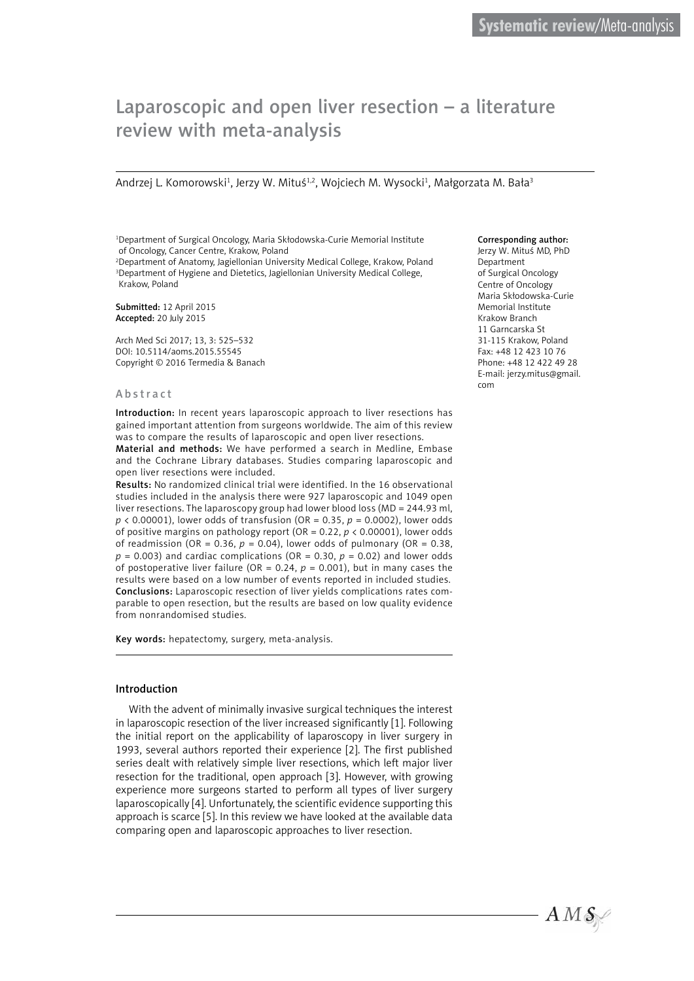# Laparoscopic and open liver resection – a literature review with meta-analysis

Andrzej L. Komorowski<sup>1</sup>, Jerzy W. Mituś<sup>1,2</sup>, Wojciech M. Wysocki<sup>1</sup>, Małgorzata M. Bała<sup>3</sup>

1 Department of Surgical Oncology, Maria Skłodowska-Curie Memorial Institute of Oncology, Cancer Centre, Krakow, Poland

2 Department of Anatomy, Jagiellonian University Medical College, Krakow, Poland 3 Department of Hygiene and Dietetics, Jagiellonian University Medical College, Krakow, Poland

Submitted: 12 April 2015 Accepted: 20 July 2015

Arch Med Sci 2017; 13, 3: 525–532 DOI: 10.5114/aoms.2015.55545 Copyright © 2016 Termedia & Banach

#### Abstract

Introduction: In recent years laparoscopic approach to liver resections has gained important attention from surgeons worldwide. The aim of this review was to compare the results of laparoscopic and open liver resections.

Material and methods: We have performed a search in Medline, Embase and the Cochrane Library databases. Studies comparing laparoscopic and open liver resections were included.

Results: No randomized clinical trial were identified. In the 16 observational studies included in the analysis there were 927 laparoscopic and 1049 open liver resections. The laparoscopy group had lower blood loss (MD = 244.93 ml, *p* < 0.00001), lower odds of transfusion (OR = 0.35, *p* = 0.0002), lower odds of positive margins on pathology report (OR = 0.22, *p* < 0.00001), lower odds of readmission (OR =  $0.36$ ,  $p = 0.04$ ), lower odds of pulmonary (OR =  $0.38$ ,  $p = 0.003$ ) and cardiac complications (OR = 0.30,  $p = 0.02$ ) and lower odds of postoperative liver failure (OR =  $0.24$ ,  $p = 0.001$ ), but in many cases the results were based on a low number of events reported in included studies. Conclusions: Laparoscopic resection of liver yields complications rates comparable to open resection, but the results are based on low quality evidence from nonrandomised studies.

Key words: hepatectomy, surgery, meta-analysis.

#### Introduction

With the advent of minimally invasive surgical techniques the interest in laparoscopic resection of the liver increased significantly [1]. Following the initial report on the applicability of laparoscopy in liver surgery in 1993, several authors reported their experience [2]. The first published series dealt with relatively simple liver resections, which left major liver resection for the traditional, open approach [3]. However, with growing experience more surgeons started to perform all types of liver surgery laparoscopically [4]. Unfortunately, the scientific evidence supporting this approach is scarce [5]. In this review we have looked at the available data comparing open and laparoscopic approaches to liver resection.

## Corresponding author:

Jerzy W. Mituś MD, PhD Department of Surgical Oncology Centre of Oncology Maria Skłodowska-Curie Memorial Institute Krakow Branch 11 Garncarska St 31-115 Krakow, Poland Fax: +48 12 423 10 76 Phone: +48 12 422 49 28 E-mail: jerzy.mitus@gmail. com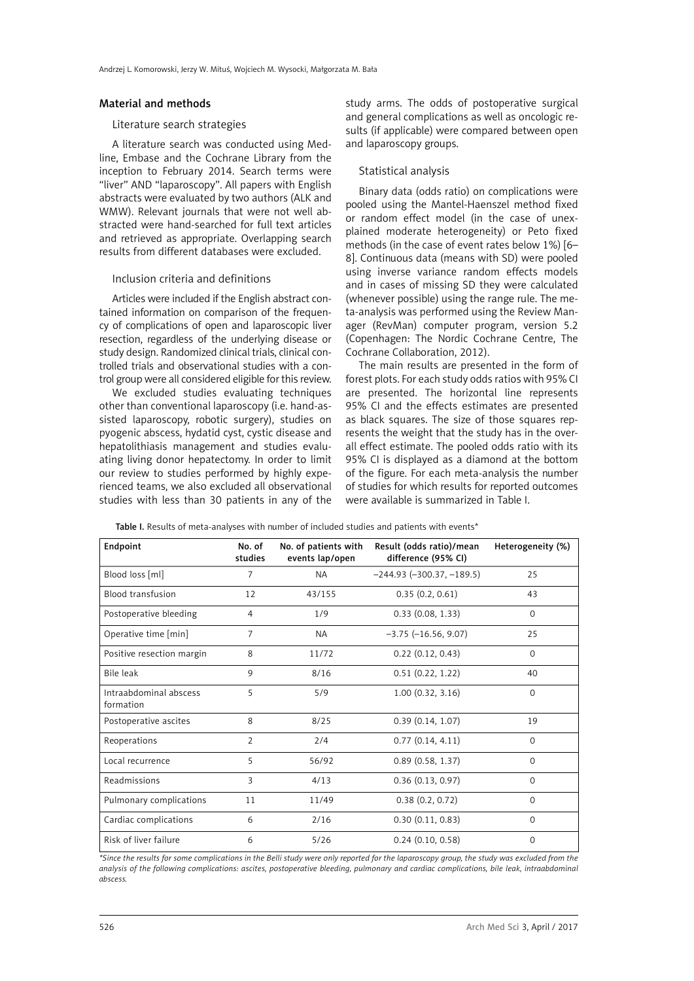#### Material and methods

# Literature search strategies

A literature search was conducted using Medline, Embase and the Cochrane Library from the inception to February 2014. Search terms were "liver" AND "laparoscopy". All papers with English abstracts were evaluated by two authors (ALK and WMW). Relevant journals that were not well abstracted were hand-searched for full text articles and retrieved as appropriate. Overlapping search results from different databases were excluded.

# Inclusion criteria and definitions

Articles were included if the English abstract contained information on comparison of the frequency of complications of open and laparoscopic liver resection, regardless of the underlying disease or study design. Randomized clinical trials, clinical controlled trials and observational studies with a control group were all considered eligible for this review.

We excluded studies evaluating techniques other than conventional laparoscopy (i.e. hand-assisted laparoscopy, robotic surgery), studies on pyogenic abscess, hydatid cyst, cystic disease and hepatolithiasis management and studies evaluating living donor hepatectomy. In order to limit our review to studies performed by highly experienced teams, we also excluded all observational studies with less than 30 patients in any of the

study arms. The odds of postoperative surgical and general complications as well as oncologic results (if applicable) were compared between open and laparoscopy groups.

## Statistical analysis

Binary data (odds ratio) on complications were pooled using the Mantel-Haenszel method fixed or random effect model (in the case of unexplained moderate heterogeneity) or Peto fixed methods (in the case of event rates below 1%) [6– 8]. Continuous data (means with SD) were pooled using inverse variance random effects models and in cases of missing SD they were calculated (whenever possible) using the range rule. The meta-analysis was performed using the Review Manager (RevMan) computer program, version 5.2 (Copenhagen: The Nordic Cochrane Centre, The Cochrane Collaboration, 2012).

The main results are presented in the form of forest plots. For each study odds ratios with 95% CI are presented. The horizontal line represents 95% CI and the effects estimates are presented as black squares. The size of those squares represents the weight that the study has in the overall effect estimate. The pooled odds ratio with its 95% CI is displayed as a diamond at the bottom of the figure. For each meta-analysis the number of studies for which results for reported outcomes were available is summarized in Table I.

Table I. Results of meta-analyses with number of included studies and patients with events\*

| Endpoint                            | No. of<br>studies | No. of patients with<br>events lap/open | Result (odds ratio)/mean<br>difference (95% CI) | Heterogeneity (%) |
|-------------------------------------|-------------------|-----------------------------------------|-------------------------------------------------|-------------------|
| Blood loss [ml]                     | 7                 | NA                                      | $-244.93$ ( $-300.37, -189.5$ )                 | 25                |
| Blood transfusion                   | 12                | 43/155                                  | 0.35(0.2, 0.61)                                 | 43                |
| Postoperative bleeding              | $\overline{4}$    | 1/9                                     | 0.33(0.08, 1.33)                                | $\Omega$          |
| Operative time [min]                | 7                 | <b>NA</b>                               | $-3.75$ $(-16.56, 9.07)$                        | 25                |
| Positive resection margin           | 8                 | 11/72                                   | 0.22(0.12, 0.43)                                | $\Omega$          |
| Bile leak                           | 9                 | 8/16                                    | 0.51(0.22, 1.22)                                | 40                |
| Intraabdominal abscess<br>formation | 5                 | 5/9                                     | 1.00(0.32, 3.16)                                | $\mathbf 0$       |
| Postoperative ascites               | 8                 | 8/25                                    | 0.39(0.14, 1.07)                                | 19                |
| Reoperations                        | $\overline{2}$    | 2/4                                     | 0.77(0.14, 4.11)                                | $\Omega$          |
| Local recurrence                    | 5                 | 56/92                                   | 0.89(0.58, 1.37)                                | $\mathbf 0$       |
| Readmissions                        | 3                 | 4/13                                    | 0.36(0.13, 0.97)                                | $\Omega$          |
| Pulmonary complications             | 11                | 11/49                                   | 0.38(0.2, 0.72)                                 | $\Omega$          |
| Cardiac complications               | 6                 | 2/16                                    | 0.30(0.11, 0.83)                                | $\mathbf 0$       |
| Risk of liver failure               | 6                 | 5/26                                    | 0.24(0.10, 0.58)                                | $\mathbf 0$       |

*\*Since the results for some complications in the Belli study were only reported for the laparoscopy group, the study was excluded from the analysis of the following complications: ascites, postoperative bleeding, pulmonary and cardiac complications, bile leak, intraabdominal abscess.*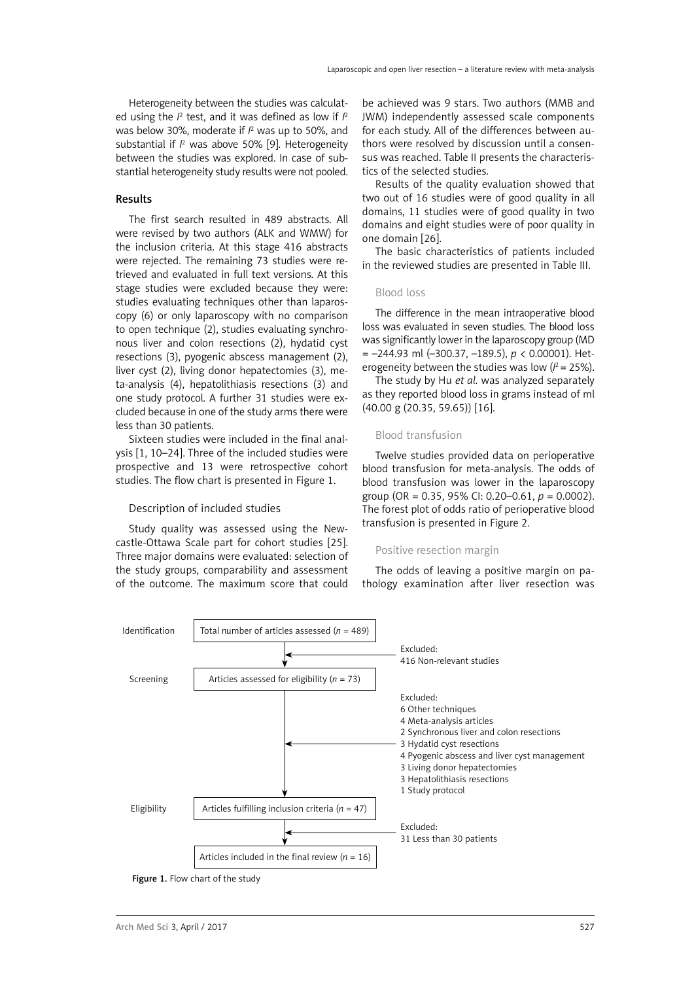Heterogeneity between the studies was calculated using the  $I^2$  test, and it was defined as low if  $I^2$ was below 30%, moderate if *I* 2 was up to 50%, and substantial if  $l^2$  was above 50% [9]. Heterogeneity between the studies was explored. In case of substantial heterogeneity study results were not pooled.

# Results

The first search resulted in 489 abstracts. All were revised by two authors (ALK and WMW) for the inclusion criteria. At this stage 416 abstracts were rejected. The remaining 73 studies were retrieved and evaluated in full text versions. At this stage studies were excluded because they were: studies evaluating techniques other than laparoscopy (6) or only laparoscopy with no comparison to open technique (2), studies evaluating synchronous liver and colon resections (2), hydatid cyst resections (3), pyogenic abscess management (2), liver cyst (2), living donor hepatectomies (3), meta-analysis (4), hepatolithiasis resections (3) and one study protocol. A further 31 studies were excluded because in one of the study arms there were less than 30 patients.

Sixteen studies were included in the final analysis [1, 10–24]. Three of the included studies were prospective and 13 were retrospective cohort studies. The flow chart is presented in Figure 1.

# Description of included studies

Study quality was assessed using the Newcastle-Ottawa Scale part for cohort studies [25]. Three major domains were evaluated: selection of the study groups, comparability and assessment of the outcome. The maximum score that could

be achieved was 9 stars. Two authors (MMB and JWM) independently assessed scale components for each study. All of the differences between authors were resolved by discussion until a consensus was reached. Table II presents the characteristics of the selected studies.

Results of the quality evaluation showed that two out of 16 studies were of good quality in all domains, 11 studies were of good quality in two domains and eight studies were of poor quality in one domain [26].

The basic characteristics of patients included in the reviewed studies are presented in Table III.

#### Blood loss

The difference in the mean intraoperative blood loss was evaluated in seven studies. The blood loss was significantly lower in the laparoscopy group (MD = –244.93 ml (–300.37, –189.5), *p* < 0.00001). Heterogeneity between the studies was low  $(l^2 = 25\%)$ .

The study by Hu *et al.* was analyzed separately as they reported blood loss in grams instead of ml (40.00 g (20.35, 59.65)) [16].

## Blood transfusion

Twelve studies provided data on perioperative blood transfusion for meta-analysis. The odds of blood transfusion was lower in the laparoscopy group (OR = 0.35, 95% CI: 0.20–0.61, *p* = 0.0002). The forest plot of odds ratio of perioperative blood transfusion is presented in Figure 2.

## Positive resection margin

The odds of leaving a positive margin on pathology examination after liver resection was



Figure 1. Flow chart of the study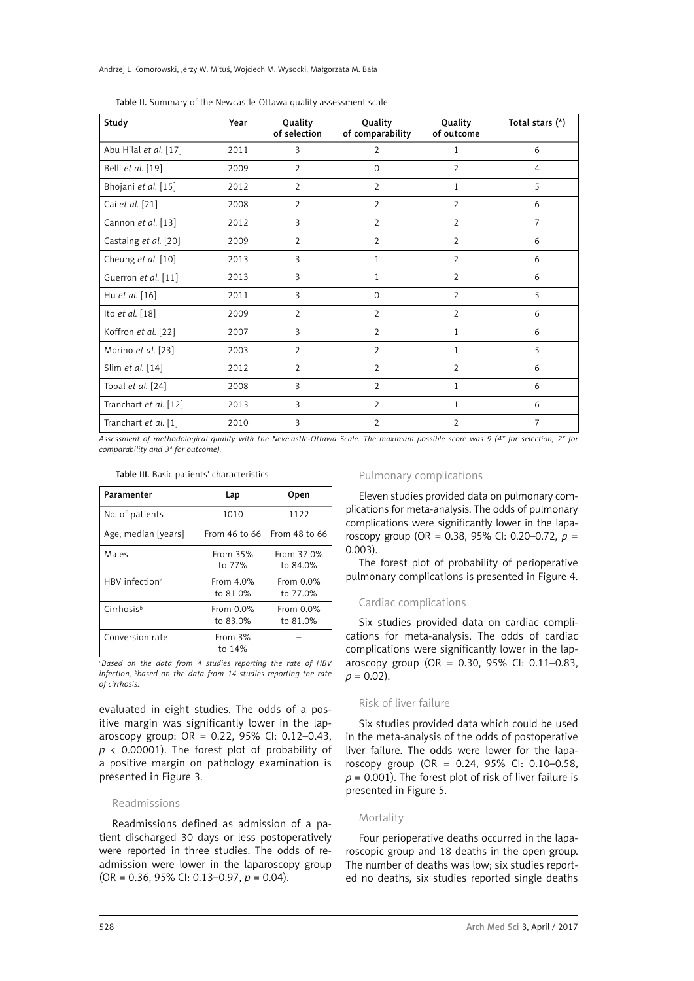Andrzej L. Komorowski, Jerzy W. Mituś, Wojciech M. Wysocki, Małgorzata M. Bała

| Study                 | Year | Quality<br>of selection | Quality<br>of comparability | Quality<br>of outcome | Total stars (*) |
|-----------------------|------|-------------------------|-----------------------------|-----------------------|-----------------|
| Abu Hilal et al. [17] | 2011 | 3                       | $\overline{2}$              | $\mathbf{1}$          | 6               |
| Belli et al. [19]     | 2009 | $\overline{2}$          | $\Omega$                    | $\overline{2}$        | $\overline{4}$  |
| Bhojani et al. [15]   | 2012 | $\overline{2}$          | $\overline{2}$              | 1                     | 5               |
| Cai et al. [21]       | 2008 | $\overline{2}$          | $\overline{2}$              | $\overline{2}$        | 6               |
| Cannon et al. [13]    | 2012 | 3                       | 2                           | $\overline{2}$        | $\overline{7}$  |
| Castaing et al. [20]  | 2009 | $\overline{2}$          | $\overline{2}$              | $\overline{2}$        | 6               |
| Cheung et al. [10]    | 2013 | 3                       | 1                           | $\overline{2}$        | 6               |
| Guerron et al. [11]   | 2013 | 3                       | 1                           | $\overline{2}$        | 6               |
| Hu et al. [16]        | 2011 | 3                       | $\Omega$                    | $\overline{2}$        | 5               |
| Ito et al. [18]       | 2009 | $\overline{2}$          | $\overline{2}$              | $\overline{2}$        | 6               |
| Koffron et al. [22]   | 2007 | 3                       | $\overline{2}$              | $\mathbf{1}$          | 6               |
| Morino et al. [23]    | 2003 | $\overline{2}$          | $\overline{2}$              | $\mathbf{1}$          | 5               |
| Slim et al. [14]      | 2012 | $\overline{2}$          | 2                           | $\overline{2}$        | 6               |
| Topal et al. [24]     | 2008 | 3                       | 2                           | $\mathbf{1}$          | 6               |
| Tranchart et al. [12] | 2013 | 3                       | $\overline{2}$              | 1                     | 6               |
| Tranchart et al. [1]  | 2010 | 3                       | $\overline{2}$              | $\overline{2}$        | $\overline{7}$  |

Table II. Summary of the Newcastle-Ottawa quality assessment scale

*Assessment of methodological quality with the Newcastle-Ottawa Scale. The maximum possible score was 9 (4\* for selection, 2\* for comparability and 3\* for outcome).*

Table III. Basic patients' characteristics

| Paramenter                 | Lap                   | Open                        |
|----------------------------|-----------------------|-----------------------------|
| No. of patients            | 1010                  | 1122                        |
| Age, median [years]        |                       | From 46 to 66 From 48 to 66 |
| Males                      | From 35%<br>to 77%    | From 37.0%<br>to 84.0%      |
| HBV infection <sup>a</sup> | From 4.0%<br>to 81.0% | From 0.0%<br>to 77.0%       |
| Cirrhosisb                 | From 0.0%<br>to 83.0% | From 0.0%<br>to 81.0%       |
| Conversion rate            | From 3%<br>to 14%     |                             |

*a Based on the data from 4 studies reporting the rate of HBV infection, b based on the data from 14 studies reporting the rate of cirrhosis.*

evaluated in eight studies. The odds of a positive margin was significantly lower in the laparoscopy group:  $OR = 0.22$ , 95% CI: 0.12-0.43, *p* < 0.00001). The forest plot of probability of a positive margin on pathology examination is presented in Figure 3.

#### Readmissions

Readmissions defined as admission of a patient discharged 30 days or less postoperatively were reported in three studies. The odds of readmission were lower in the laparoscopy group (OR = 0.36, 95% CI: 0.13–0.97, *p* = 0.04).

#### Pulmonary complications

Eleven studies provided data on pulmonary complications for meta-analysis. The odds of pulmonary complications were significantly lower in the laparoscopy group (OR = 0.38, 95% CI: 0.20–0.72, *p* = 0.003).

The forest plot of probability of perioperative pulmonary complications is presented in Figure 4.

#### Cardiac complications

Six studies provided data on cardiac complications for meta-analysis. The odds of cardiac complications were significantly lower in the laparoscopy group (OR = 0.30, 95% CI: 0.11–0.83,  $p = 0.02$ ).

#### Risk of liver failure

Six studies provided data which could be used in the meta-analysis of the odds of postoperative liver failure. The odds were lower for the laparoscopy group (OR = 0.24, 95% CI: 0.10–0.58,  $p = 0.001$ ). The forest plot of risk of liver failure is presented in Figure 5.

## **Mortality**

Four perioperative deaths occurred in the laparoscopic group and 18 deaths in the open group. The number of deaths was low; six studies reported no deaths, six studies reported single deaths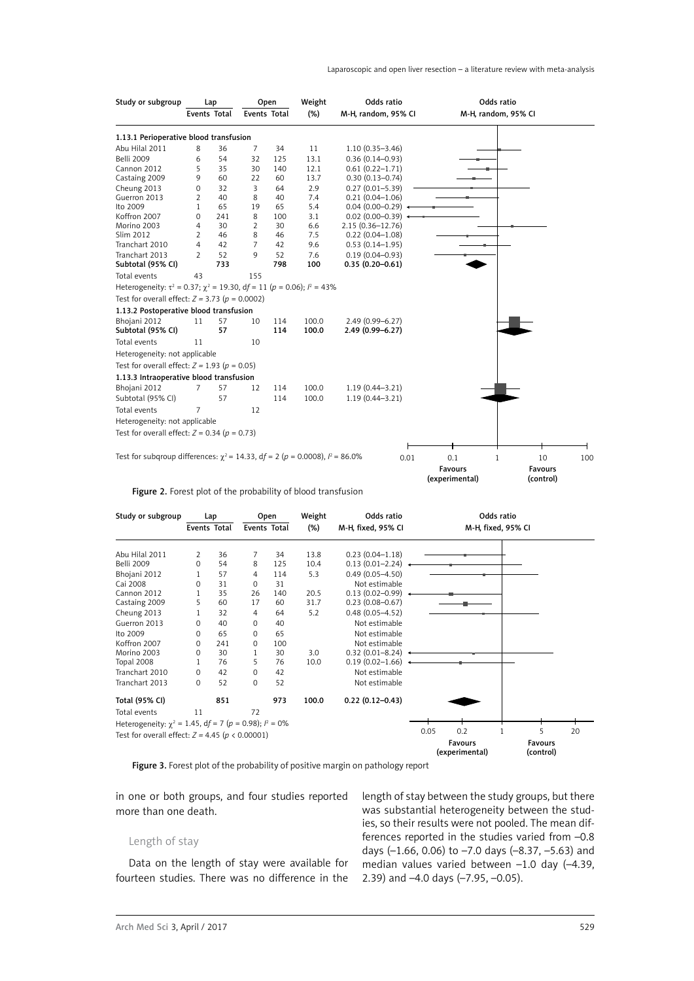#### Laparoscopic and open liver resection – a literature review with meta-analysis

| Study or subgroup                                                                 | Lap                 |     |                            | Open | Weight | Odds ratio                 | Odds ratio          |
|-----------------------------------------------------------------------------------|---------------------|-----|----------------------------|------|--------|----------------------------|---------------------|
|                                                                                   | <b>Events Total</b> |     | <b>Events Total</b>        |      | (%)    | M-H, random, 95% CI        | M-H, random, 95% CI |
| 1.13.1 Perioperative blood transfusion                                            |                     |     |                            |      |        |                            |                     |
| Abu Hilal 2011                                                                    | 8                   | 36  | $\overline{7}$             | 34   | 11     | $1.10(0.35 - 3.46)$        |                     |
| Belli 2009                                                                        | 6                   | 54  | 32                         | 125  | 13.1   | $0.36(0.14 - 0.93)$        |                     |
| Cannon 2012                                                                       | 5                   | 35  | 30                         | 140  | 12.1   | $0.61(0.22 - 1.71)$        |                     |
| Castaing 2009                                                                     | 9                   | 60  | 22                         | 60   | 13.7   | $0.30(0.13 - 0.74)$        |                     |
| Cheung 2013                                                                       | 0                   | 32  | 3                          | 64   | 2.9    | $0.27(0.01 - 5.39)$        |                     |
| Guerron 2013                                                                      | 2                   | 40  | 8                          | 40   | 7.4    | $0.21(0.04 - 1.06)$        |                     |
| Ito 2009                                                                          | 1                   | 65  | 19                         | 65   | 5.4    | $0.04(0.00-0.29)$          |                     |
| Koffron 2007                                                                      | 0                   | 241 | 8                          | 100  | 3.1    | $0.02$ (0.00-0.39) $\cdot$ |                     |
| Morino 2003                                                                       | 4                   | 30  | $\overline{2}$             | 30   | 6.6    | 2.15 (0.36-12.76)          |                     |
| Slim 2012                                                                         | 2                   | 46  | 8                          | 46   | 7.5    | $0.22(0.04 - 1.08)$        |                     |
| Tranchart 2010                                                                    | 4                   | 42  | 7                          | 42   | 9.6    | $0.53(0.14 - 1.95)$        |                     |
| Tranchart 2013                                                                    | $\overline{2}$      | 52  | 9                          | 52   | 7.6    | $0.19(0.04 - 0.93)$        |                     |
| Subtotal (95% CI)                                                                 |                     | 733 |                            | 798  | 100    | $0.35(0.20 - 0.61)$        |                     |
| Total events                                                                      | 43                  |     | 155                        |      |        |                            |                     |
| Heterogeneity: $\tau^2$ = 0.37; $\chi^2$ = 19.30, df = 11 (p = 0.06); $l^2$ = 43% |                     |     |                            |      |        |                            |                     |
| Test for overall effect: $Z = 3.73$ ( $p = 0.0002$ )                              |                     |     |                            |      |        |                            |                     |
| 1.13.2 Postoperative blood transfusion                                            |                     |     |                            |      |        |                            |                     |
| Bhojani 2012                                                                      | 11                  | 57  | 10                         | 114  | 100.0  | 2.49 (0.99-6.27)           |                     |
| Subtotal (95% CI)                                                                 |                     | 57  |                            | 114  | 100.0  | 2.49 (0.99-6.27)           |                     |
| Total events                                                                      | 11                  |     | 10                         |      |        |                            |                     |
| Heterogeneity: not applicable                                                     |                     |     |                            |      |        |                            |                     |
| Test for overall effect: $Z = 1.93$ ( $p = 0.05$ )                                |                     |     |                            |      |        |                            |                     |
| 1.13.3 Intraoperative blood transfusion                                           |                     |     |                            |      |        |                            |                     |
| Bhojani 2012                                                                      | 7                   | 57  | 12                         | 114  | 100.0  | $1.19(0.44 - 3.21)$        |                     |
| Subtotal (95% CI)                                                                 |                     | 57  |                            | 114  | 100.0  | $1.19(0.44 - 3.21)$        |                     |
| Total events                                                                      | 7                   |     | 12                         |      |        |                            |                     |
| Heterogeneity: not applicable                                                     |                     |     |                            |      |        |                            |                     |
| Test for overall effect: $Z = 0.34$ ( $p = 0.73$ )                                |                     |     |                            |      |        |                            |                     |
|                                                                                   |                     |     |                            |      |        |                            |                     |
| $T = 11.00$ and $T = 11.00$ and $T = 11.00$ and                                   |                     |     | $\frac{1}{2}$ 14.33 de 36. |      | 0.0000 |                            |                     |

Test for subqroup differences:  $\chi^2 = 14.33$ , df = 2 (*p* = 0.0008),  $l^2 = 86.0\%$  0.01 0.1 1 10 100

Figure 2. Forest plot of the probability of blood transfusion

| Study or subgroup                                             | Lap          |           | Open                 |           | Weight       | Odds ratio                                   |      | Odds ratio                       |                             |    |  |
|---------------------------------------------------------------|--------------|-----------|----------------------|-----------|--------------|----------------------------------------------|------|----------------------------------|-----------------------------|----|--|
|                                                               | Events Total |           | Events Total         |           | (%)          | M-H, fixed, 95% CI                           |      | M-H, fixed, 95% CI               |                             |    |  |
| Abu Hilal 2011<br><b>Belli 2009</b>                           | 2<br>0       | 36<br>54  | 7<br>8               | 34<br>125 | 13.8<br>10.4 | $0.23(0.04 - 1.18)$<br>$0.13(0.01 - 2.24)$   |      |                                  |                             |    |  |
| Bhojani 2012<br>Cai 2008                                      | 0            | 57<br>31  | 4<br>$\Omega$        | 114<br>31 | 5.3          | $0.49(0.05 - 4.50)$<br>Not estimable         |      |                                  |                             |    |  |
| Cannon 2012<br>Castaing 2009                                  | 5            | 35<br>60  | 26<br>17             | 140<br>60 | 20.5<br>31.7 | $0.13(0.02 - 0.99)$<br>$0.23(0.08 - 0.67)$   |      |                                  |                             |    |  |
| Cheung 2013<br>Guerron 2013                                   | 1<br>0       | 32<br>40  | 4<br>$\Omega$        | 64<br>40  | 5.2          | $0.48(0.05 - 4.52)$<br>Not estimable         |      |                                  |                             |    |  |
| Ito 2009<br>Koffron 2007                                      | 0<br>0       | 65<br>241 | $\Omega$<br>$\Omega$ | 65<br>100 |              | Not estimable<br>Not estimable               |      |                                  |                             |    |  |
| Morino 2003<br>Topal 2008                                     | 0<br>1       | 30<br>76  | 5                    | 30<br>76  | 3.0<br>10.0  | $0.32(0.01 - 8.24)$<br>$0.19(0.02 - 1.66)$ + |      |                                  |                             |    |  |
| Tranchart 2010<br>Tranchart 2013                              | 0<br>0       | 42<br>52  | $\Omega$<br>$\Omega$ | 42<br>52  |              | Not estimable<br>Not estimable               |      |                                  |                             |    |  |
| Total (95% CI)                                                |              | 851       |                      | 973       | 100.0        | $0.22(0.12 - 0.43)$                          |      |                                  |                             |    |  |
| Total events                                                  | 11           |           | 72                   |           |              |                                              |      |                                  |                             |    |  |
| Heterogeneity: $\chi^2$ = 1.45, df = 7 (p = 0.98); $l^2$ = 0% |              |           |                      |           |              |                                              |      |                                  |                             |    |  |
| Test for overall effect: $Z = 4.45$ ( $p < 0.00001$ )         |              |           |                      |           |              |                                              | 0.05 | 0.2                              | 5                           | 20 |  |
|                                                               |              |           |                      |           |              |                                              |      | <b>Favours</b><br>(experimental) | <b>Favours</b><br>(control) |    |  |

Figure 3. Forest plot of the probability of positive margin on pathology report

in one or both groups, and four studies reported more than one death.

# Length of stay

Data on the length of stay were available for fourteen studies. There was no difference in the length of stay between the study groups, but there was substantial heterogeneity between the studies, so their results were not pooled. The mean differences reported in the studies varied from –0.8 days (–1.66, 0.06) to –7.0 days (–8.37, –5.63) and median values varied between –1.0 day (–4.39, 2.39) and –4.0 days (–7.95, –0.05).

Favours<br>
rerimental) (control)

(experimental)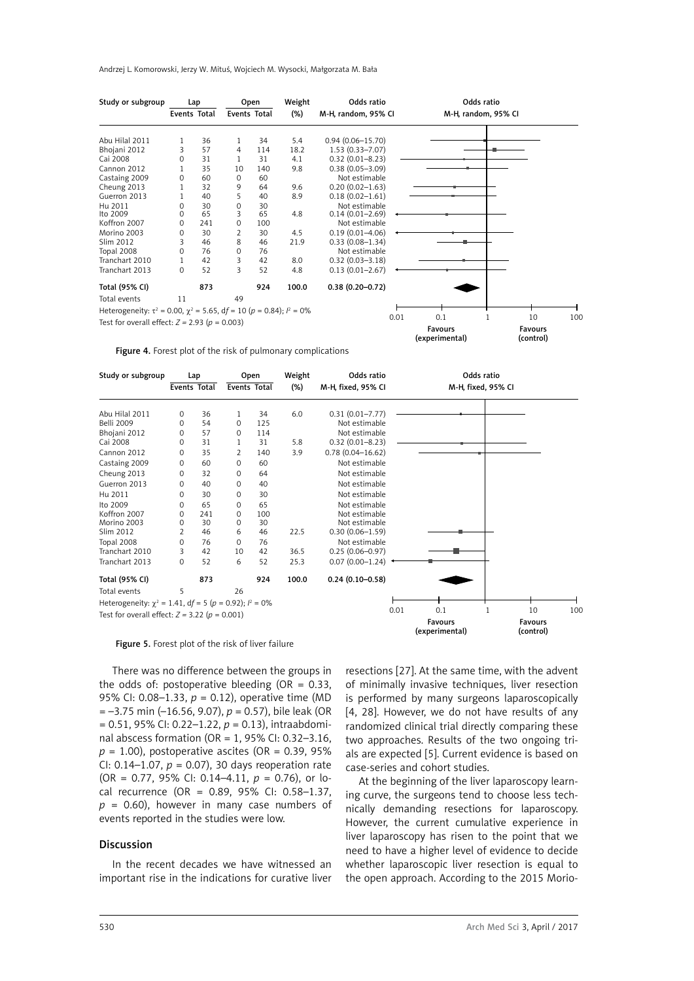Andrzej L. Komorowski, Jerzy W. Mituś, Wojciech M. Wysocki, Małgorzata M. Bała

| Study or subgroup                                                               | Lap          |     | Open         |     | Weight | Odds ratio           |      | Odds ratio          |  |         |     |
|---------------------------------------------------------------------------------|--------------|-----|--------------|-----|--------|----------------------|------|---------------------|--|---------|-----|
|                                                                                 | Events Total |     | Events Total |     | $(\%)$ | M-H, random, 95% CI  |      | M-H, random, 95% CI |  |         |     |
|                                                                                 |              |     |              |     |        |                      |      |                     |  |         |     |
| Abu Hilal 2011                                                                  | 1            | 36  |              | 34  | 5.4    | $0.94(0.06 - 15.70)$ |      |                     |  |         |     |
| Bhojani 2012                                                                    | 3            | 57  | 4            | 114 | 18.2   | $1.53(0.33 - 7.07)$  |      |                     |  |         |     |
| Cai 2008                                                                        | $\Omega$     | 31  |              | 31  | 4.1    | $0.32(0.01 - 8.23)$  |      |                     |  |         |     |
| Cannon 2012                                                                     |              | 35  | 10           | 140 | 9.8    | $0.38(0.05 - 3.09)$  |      |                     |  |         |     |
| Castaing 2009                                                                   | 0            | 60  | 0            | 60  |        | Not estimable        |      |                     |  |         |     |
| Cheung 2013                                                                     |              | 32  | 9            | 64  | 9.6    | $0.20(0.02 - 1.63)$  |      |                     |  |         |     |
| Guerron 2013                                                                    |              | 40  | 5            | 40  | 8.9    | $0.18(0.02 - 1.61)$  |      |                     |  |         |     |
| Hu 2011                                                                         | $\Omega$     | 30  | 0            | 30  |        | Not estimable        |      |                     |  |         |     |
| Ito 2009                                                                        | 0            | 65  | 3            | 65  | 4.8    | $0.14(0.01 - 2.69)$  |      |                     |  |         |     |
| Koffron 2007                                                                    | 0            | 241 | $\Omega$     | 100 |        | Not estimable        |      |                     |  |         |     |
| Morino 2003                                                                     | 0            | 30  | 2            | 30  | 4.5    | $0.19(0.01 - 4.06)$  |      |                     |  |         |     |
| Slim 2012                                                                       | 3            | 46  | 8            | 46  | 21.9   | $0.33(0.08 - 1.34)$  |      |                     |  |         |     |
| Topal 2008                                                                      | $\Omega$     | 76  | 0            | 76  |        | Not estimable        |      |                     |  |         |     |
| Tranchart 2010                                                                  |              | 42  | 3            | 42  | 8.0    | $0.32(0.03 - 3.18)$  |      |                     |  |         |     |
| Tranchart 2013                                                                  | $\circ$      | 52  | 3            | 52  | 4.8    | $0.13(0.01 - 2.67)$  |      |                     |  |         |     |
| Total (95% CI)                                                                  |              | 873 |              | 924 | 100.0  | $0.38(0.20 - 0.72)$  |      |                     |  |         |     |
| Total events                                                                    | 11           |     | 49           |     |        |                      |      |                     |  |         |     |
| Heterogeneity: $\tau^2$ = 0.00, $\chi^2$ = 5.65, df = 10 (p = 0.84); $l^2$ = 0% |              |     |              |     |        |                      |      |                     |  |         |     |
| Test for overall effect: $Z = 2.93$ ( $p = 0.003$ )                             |              |     |              |     |        |                      | 0.01 | 0.1                 |  | 10      | 100 |
|                                                                                 |              |     |              |     |        |                      |      | <b>Favours</b>      |  | Favours |     |

Figure 4. Forest plot of the risk of pulmonary complications



Figure 5. Forest plot of the risk of liver failure

There was no difference between the groups in the odds of: postoperative bleeding (OR =  $0.33$ , 95% CI: 0.08–1.33, *p* = 0.12), operative time (MD = –3.75 min (–16.56, 9.07), *p* = 0.57), bile leak (OR = 0.51, 95% CI: 0.22–1.22, *p* = 0.13), intraabdominal abscess formation (OR =  $1,95\%$  CI: 0.32-3.16,  $p = 1.00$ ), postoperative ascites (OR = 0.39, 95% CI:  $0.14 - 1.07$ ,  $p = 0.07$ ), 30 days reoperation rate (OR = 0.77, 95% CI: 0.14–4.11, *p* = 0.76), or local recurrence (OR = 0.89, 95% CI: 0.58–1.37, *p* = 0.60), however in many case numbers of events reported in the studies were low.

## Discussion

In the recent decades we have witnessed an important rise in the indications for curative liver

resections [27]. At the same time, with the advent of minimally invasive techniques, liver resection is performed by many surgeons laparoscopically [4, 28]. However, we do not have results of any randomized clinical trial directly comparing these two approaches. Results of the two ongoing trials are expected [5]. Current evidence is based on case-series and cohort studies.

(experimental) (control)

At the beginning of the liver laparoscopy learning curve, the surgeons tend to choose less technically demanding resections for laparoscopy. However, the current cumulative experience in liver laparoscopy has risen to the point that we need to have a higher level of evidence to decide whether laparoscopic liver resection is equal to the open approach. According to the 2015 Morio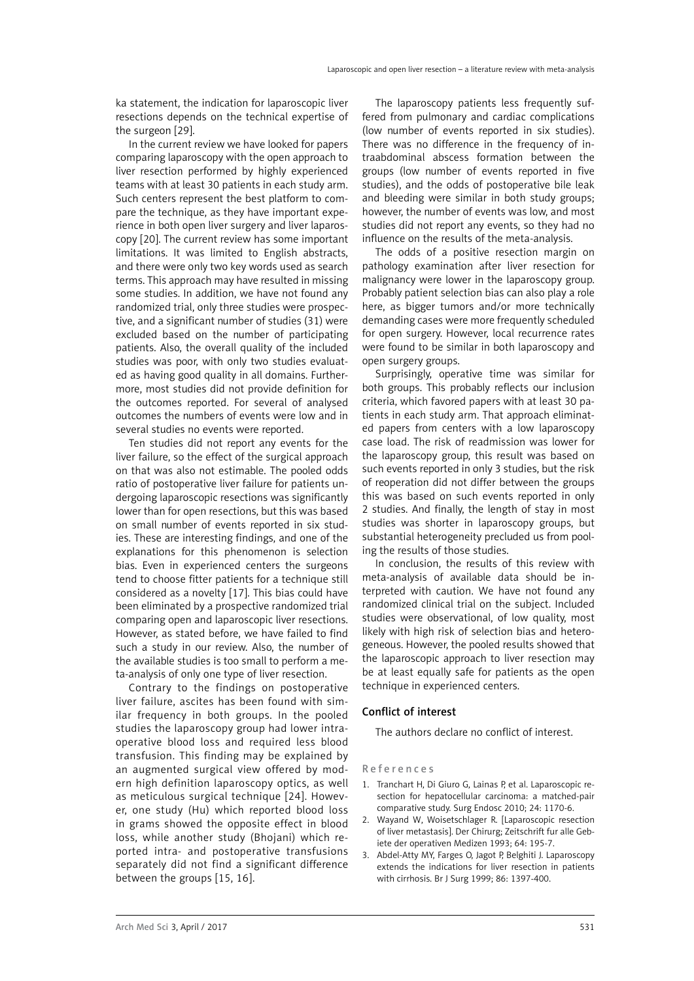ka statement, the indication for laparoscopic liver resections depends on the technical expertise of the surgeon [29].

In the current review we have looked for papers comparing laparoscopy with the open approach to liver resection performed by highly experienced teams with at least 30 patients in each study arm. Such centers represent the best platform to compare the technique, as they have important experience in both open liver surgery and liver laparoscopy [20]. The current review has some important limitations. It was limited to English abstracts, and there were only two key words used as search terms. This approach may have resulted in missing some studies. In addition, we have not found any randomized trial, only three studies were prospective, and a significant number of studies (31) were excluded based on the number of participating patients. Also, the overall quality of the included studies was poor, with only two studies evaluated as having good quality in all domains. Furthermore, most studies did not provide definition for the outcomes reported. For several of analysed outcomes the numbers of events were low and in several studies no events were reported.

Ten studies did not report any events for the liver failure, so the effect of the surgical approach on that was also not estimable. The pooled odds ratio of postoperative liver failure for patients undergoing laparoscopic resections was significantly lower than for open resections, but this was based on small number of events reported in six studies. These are interesting findings, and one of the explanations for this phenomenon is selection bias. Even in experienced centers the surgeons tend to choose fitter patients for a technique still considered as a novelty [17]. This bias could have been eliminated by a prospective randomized trial comparing open and laparoscopic liver resections. However, as stated before, we have failed to find such a study in our review. Also, the number of the available studies is too small to perform a meta-analysis of only one type of liver resection.

Contrary to the findings on postoperative liver failure, ascites has been found with similar frequency in both groups. In the pooled studies the laparoscopy group had lower intraoperative blood loss and required less blood transfusion. This finding may be explained by an augmented surgical view offered by modern high definition laparoscopy optics, as well as meticulous surgical technique [24]. However, one study (Hu) which reported blood loss in grams showed the opposite effect in blood loss, while another study (Bhojani) which reported intra- and postoperative transfusions separately did not find a significant difference between the groups [15, 16].

The laparoscopy patients less frequently suffered from pulmonary and cardiac complications (low number of events reported in six studies). There was no difference in the frequency of intraabdominal abscess formation between the groups (low number of events reported in five studies), and the odds of postoperative bile leak and bleeding were similar in both study groups; however, the number of events was low, and most studies did not report any events, so they had no influence on the results of the meta-analysis.

The odds of a positive resection margin on pathology examination after liver resection for malignancy were lower in the laparoscopy group. Probably patient selection bias can also play a role here, as bigger tumors and/or more technically demanding cases were more frequently scheduled for open surgery. However, local recurrence rates were found to be similar in both laparoscopy and open surgery groups.

Surprisingly, operative time was similar for both groups. This probably reflects our inclusion criteria, which favored papers with at least 30 patients in each study arm. That approach eliminated papers from centers with a low laparoscopy case load. The risk of readmission was lower for the laparoscopy group, this result was based on such events reported in only 3 studies, but the risk of reoperation did not differ between the groups this was based on such events reported in only 2 studies. And finally, the length of stay in most studies was shorter in laparoscopy groups, but substantial heterogeneity precluded us from pooling the results of those studies.

In conclusion, the results of this review with meta-analysis of available data should be interpreted with caution. We have not found any randomized clinical trial on the subject. Included studies were observational, of low quality, most likely with high risk of selection bias and heterogeneous. However, the pooled results showed that the laparoscopic approach to liver resection may be at least equally safe for patients as the open technique in experienced centers.

# Conflict of interest

The authors declare no conflict of interest.

## References

- 1. Tranchart H, Di Giuro G, Lainas P, et al. Laparoscopic resection for hepatocellular carcinoma: a matched-pair comparative study. Surg Endosc 2010; 24: 1170-6.
- 2. Wayand W, Woisetschlager R. [Laparoscopic resection of liver metastasis]. Der Chirurg; Zeitschrift fur alle Gebiete der operativen Medizen 1993; 64: 195-7.
- 3. Abdel-Atty MY, Farges O, Jagot P, Belghiti J. Laparoscopy extends the indications for liver resection in patients with cirrhosis. Br J Surg 1999; 86: 1397-400.